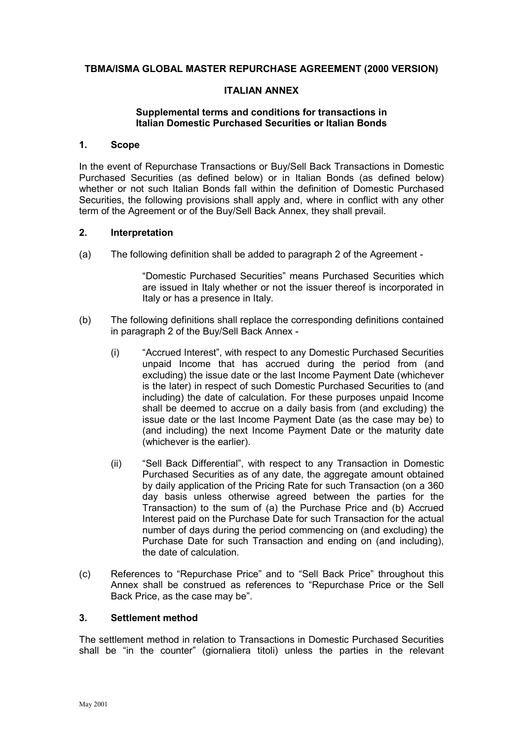## **TBMA/ISMA GLOBAL MASTER REPURCHASE AGREEMENT (2000 VERSION)**

### **ITALIAN ANNEX**

### **Supplemental terms and conditions for transactions in Italian Domestic Purchased Securities or Italian Bonds**

### **1. Scope**

In the event of Repurchase Transactions or Buy/Sell Back Transactions in Domestic Purchased Securities (as defined below) or in Italian Bonds (as defined below) whether or not such Italian Bonds fall within the definition of Domestic Purchased Securities, the following provisions shall apply and, where in conflict with any other term of the Agreement or of the Buy/Sell Back Annex, they shall prevail.

### **2. Interpretation**

(a) The following definition shall be added to paragraph 2 of the Agreement -

"Domestic Purchased Securities" means Purchased Securities which are issued in Italy whether or not the issuer thereof is incorporated in Italy or has a presence in Italy.

- (b) The following definitions shall replace the corresponding definitions contained in paragraph 2 of the Buy/Sell Back Annex -
	- (i) "Accrued Interest", with respect to any Domestic Purchased Securities unpaid Income that has accrued during the period from (and excluding) the issue date or the last Income Payment Date (whichever is the later) in respect of such Domestic Purchased Securities to (and including) the date of calculation. For these purposes unpaid Income shall be deemed to accrue on a daily basis from (and excluding) the issue date or the last Income Payment Date (as the case may be) to (and including) the next Income Payment Date or the maturity date (whichever is the earlier).
	- (ii) "Sell Back Differential", with respect to any Transaction in Domestic Purchased Securities as of any date, the aggregate amount obtained by daily application of the Pricing Rate for such Transaction (on a 360 day basis unless otherwise agreed between the parties for the Transaction) to the sum of (a) the Purchase Price and (b) Accrued Interest paid on the Purchase Date for such Transaction for the actual number of days during the period commencing on (and excluding) the Purchase Date for such Transaction and ending on (and including), the date of calculation.
- (c) References to "Repurchase Price" and to "Sell Back Price" throughout this Annex shall be construed as references to "Repurchase Price or the Sell Back Price, as the case may be".

#### **3. Settlement method**

The settlement method in relation to Transactions in Domestic Purchased Securities shall be "in the counter" (giornaliera titoli) unless the parties in the relevant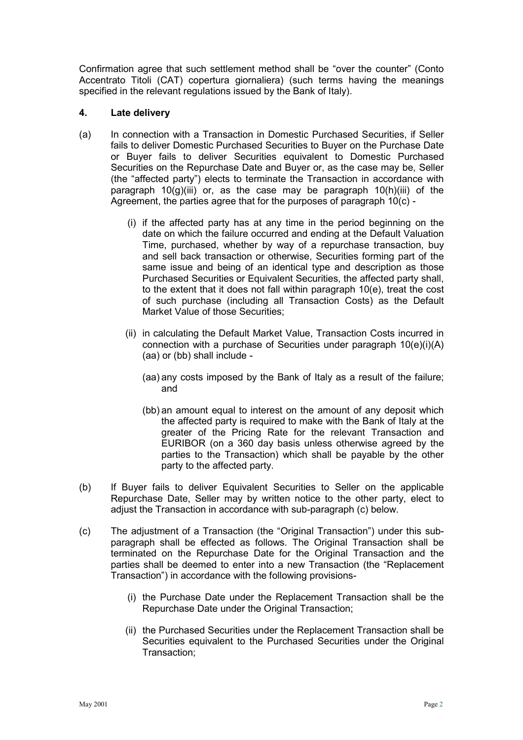Confirmation agree that such settlement method shall be "over the counter" (Conto Accentrato Titoli (CAT) copertura giornaliera) (such terms having the meanings specified in the relevant regulations issued by the Bank of Italy).

## **4. Late delivery**

- (a) In connection with a Transaction in Domestic Purchased Securities, if Seller fails to deliver Domestic Purchased Securities to Buyer on the Purchase Date or Buyer fails to deliver Securities equivalent to Domestic Purchased Securities on the Repurchase Date and Buyer or, as the case may be, Seller (the "affected party") elects to terminate the Transaction in accordance with paragraph  $10(q)(iii)$  or, as the case may be paragraph  $10(h)(iii)$  of the Agreement, the parties agree that for the purposes of paragraph 10(c) -
	- (i) if the affected party has at any time in the period beginning on the date on which the failure occurred and ending at the Default Valuation Time, purchased, whether by way of a repurchase transaction, buy and sell back transaction or otherwise, Securities forming part of the same issue and being of an identical type and description as those Purchased Securities or Equivalent Securities, the affected party shall, to the extent that it does not fall within paragraph 10(e), treat the cost of such purchase (including all Transaction Costs) as the Default Market Value of those Securities;
	- (ii) in calculating the Default Market Value, Transaction Costs incurred in connection with a purchase of Securities under paragraph 10(e)(i)(A) (aa) or (bb) shall include -
		- (aa) any costs imposed by the Bank of Italy as a result of the failure; and
		- (bb) an amount equal to interest on the amount of any deposit which the affected party is required to make with the Bank of Italy at the greater of the Pricing Rate for the relevant Transaction and EURIBOR (on a 360 day basis unless otherwise agreed by the parties to the Transaction) which shall be payable by the other party to the affected party.
- (b) If Buyer fails to deliver Equivalent Securities to Seller on the applicable Repurchase Date, Seller may by written notice to the other party, elect to adjust the Transaction in accordance with sub-paragraph (c) below.
- (c) The adjustment of a Transaction (the "Original Transaction") under this subparagraph shall be effected as follows. The Original Transaction shall be terminated on the Repurchase Date for the Original Transaction and the parties shall be deemed to enter into a new Transaction (the "Replacement Transaction") in accordance with the following provisions-
	- (i) the Purchase Date under the Replacement Transaction shall be the Repurchase Date under the Original Transaction;
	- (ii) the Purchased Securities under the Replacement Transaction shall be Securities equivalent to the Purchased Securities under the Original Transaction;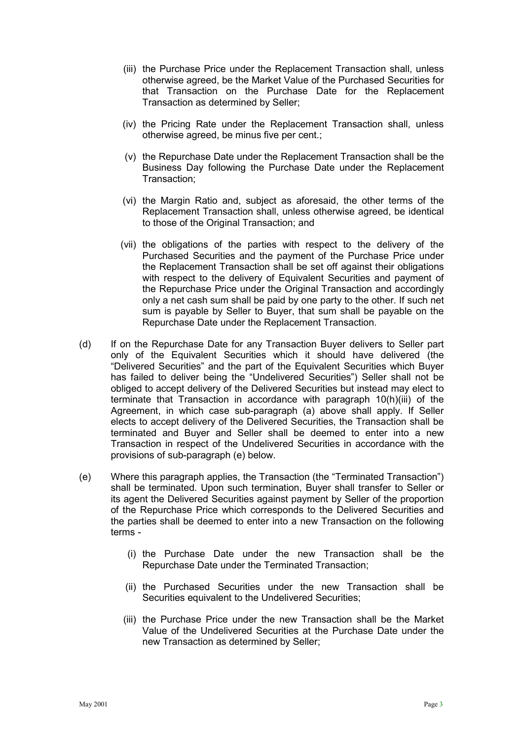- (iii) the Purchase Price under the Replacement Transaction shall, unless otherwise agreed, be the Market Value of the Purchased Securities for that Transaction on the Purchase Date for the Replacement Transaction as determined by Seller;
- (iv) the Pricing Rate under the Replacement Transaction shall, unless otherwise agreed, be minus five per cent.;
- (v) the Repurchase Date under the Replacement Transaction shall be the Business Day following the Purchase Date under the Replacement Transaction;
- (vi) the Margin Ratio and, subject as aforesaid, the other terms of the Replacement Transaction shall, unless otherwise agreed, be identical to those of the Original Transaction; and
- (vii) the obligations of the parties with respect to the delivery of the Purchased Securities and the payment of the Purchase Price under the Replacement Transaction shall be set off against their obligations with respect to the delivery of Equivalent Securities and payment of the Repurchase Price under the Original Transaction and accordingly only a net cash sum shall be paid by one party to the other. If such net sum is payable by Seller to Buyer, that sum shall be payable on the Repurchase Date under the Replacement Transaction.
- (d) If on the Repurchase Date for any Transaction Buyer delivers to Seller part only of the Equivalent Securities which it should have delivered (the "Delivered Securities" and the part of the Equivalent Securities which Buyer has failed to deliver being the "Undelivered Securities") Seller shall not be obliged to accept delivery of the Delivered Securities but instead may elect to terminate that Transaction in accordance with paragraph 10(h)(iii) of the Agreement, in which case sub-paragraph (a) above shall apply. If Seller elects to accept delivery of the Delivered Securities, the Transaction shall be terminated and Buyer and Seller shall be deemed to enter into a new Transaction in respect of the Undelivered Securities in accordance with the provisions of sub-paragraph (e) below.
- (e) Where this paragraph applies, the Transaction (the "Terminated Transaction") shall be terminated. Upon such termination, Buyer shall transfer to Seller or its agent the Delivered Securities against payment by Seller of the proportion of the Repurchase Price which corresponds to the Delivered Securities and the parties shall be deemed to enter into a new Transaction on the following terms -
	- (i) the Purchase Date under the new Transaction shall be the Repurchase Date under the Terminated Transaction;
	- (ii) the Purchased Securities under the new Transaction shall be Securities equivalent to the Undelivered Securities;
	- (iii) the Purchase Price under the new Transaction shall be the Market Value of the Undelivered Securities at the Purchase Date under the new Transaction as determined by Seller;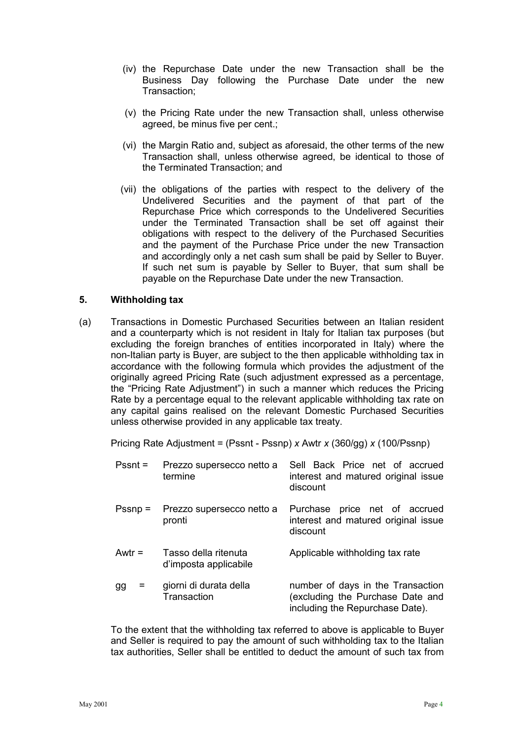- (iv) the Repurchase Date under the new Transaction shall be the Business Day following the Purchase Date under the new Transaction;
- (v) the Pricing Rate under the new Transaction shall, unless otherwise agreed, be minus five per cent.;
- (vi) the Margin Ratio and, subject as aforesaid, the other terms of the new Transaction shall, unless otherwise agreed, be identical to those of the Terminated Transaction; and
- (vii) the obligations of the parties with respect to the delivery of the Undelivered Securities and the payment of that part of the Repurchase Price which corresponds to the Undelivered Securities under the Terminated Transaction shall be set off against their obligations with respect to the delivery of the Purchased Securities and the payment of the Purchase Price under the new Transaction and accordingly only a net cash sum shall be paid by Seller to Buyer. If such net sum is payable by Seller to Buyer, that sum shall be payable on the Repurchase Date under the new Transaction.

### **5. Withholding tax**

(a) Transactions in Domestic Purchased Securities between an Italian resident and a counterparty which is not resident in Italy for Italian tax purposes (but excluding the foreign branches of entities incorporated in Italy) where the non-Italian party is Buyer, are subject to the then applicable withholding tax in accordance with the following formula which provides the adjustment of the originally agreed Pricing Rate (such adjustment expressed as a percentage, the "Pricing Rate Adjustment") in such a manner which reduces the Pricing Rate by a percentage equal to the relevant applicable withholding tax rate on any capital gains realised on the relevant Domestic Purchased Securities unless otherwise provided in any applicable tax treaty.

Pricing Rate Adjustment = (Pssnt - Pssnp) *x* Awtr *x* (360/gg) *x* (100/Pssnp)

| $Pssnt =$ | Prezzo supersecco netto a<br>termine          | Sell Back Price net of accrued<br>interest and matured original issue<br>discount                        |
|-----------|-----------------------------------------------|----------------------------------------------------------------------------------------------------------|
| $Pssnp =$ | Prezzo supersecco netto a<br>pronti           | price net of accrued<br>Purchase<br>interest and matured original issue<br>discount                      |
| Awtr $=$  | Tasso della ritenuta<br>d'imposta applicabile | Applicable withholding tax rate                                                                          |
| =<br>gg   | giorni di durata della<br>Transaction         | number of days in the Transaction<br>(excluding the Purchase Date and<br>including the Repurchase Date). |

To the extent that the withholding tax referred to above is applicable to Buyer and Seller is required to pay the amount of such withholding tax to the Italian tax authorities, Seller shall be entitled to deduct the amount of such tax from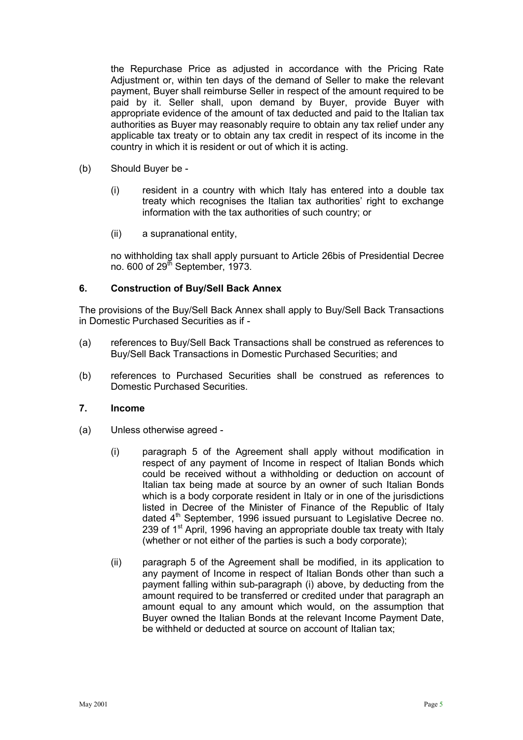the Repurchase Price as adjusted in accordance with the Pricing Rate Adjustment or, within ten days of the demand of Seller to make the relevant payment, Buyer shall reimburse Seller in respect of the amount required to be paid by it. Seller shall, upon demand by Buyer, provide Buyer with appropriate evidence of the amount of tax deducted and paid to the Italian tax authorities as Buyer may reasonably require to obtain any tax relief under any applicable tax treaty or to obtain any tax credit in respect of its income in the country in which it is resident or out of which it is acting.

- (b) Should Buyer be
	- (i) resident in a country with which Italy has entered into a double tax treaty which recognises the Italian tax authorities' right to exchange information with the tax authorities of such country; or
	- (ii) a supranational entity,

no withholding tax shall apply pursuant to Article 26bis of Presidential Decree no.  $600$  of  $29<sup>th</sup>$  September, 1973.

## **6. Construction of Buy/Sell Back Annex**

The provisions of the Buy/Sell Back Annex shall apply to Buy/Sell Back Transactions in Domestic Purchased Securities as if -

- (a) references to Buy/Sell Back Transactions shall be construed as references to Buy/Sell Back Transactions in Domestic Purchased Securities; and
- (b) references to Purchased Securities shall be construed as references to Domestic Purchased Securities.

### **7. Income**

- (a) Unless otherwise agreed
	- (i) paragraph 5 of the Agreement shall apply without modification in respect of any payment of Income in respect of Italian Bonds which could be received without a withholding or deduction on account of Italian tax being made at source by an owner of such Italian Bonds which is a body corporate resident in Italy or in one of the jurisdictions listed in Decree of the Minister of Finance of the Republic of Italy dated 4<sup>th</sup> September, 1996 issued pursuant to Legislative Decree no. 239 of  $1<sup>st</sup>$  April, 1996 having an appropriate double tax treaty with Italy (whether or not either of the parties is such a body corporate);
	- (ii) paragraph 5 of the Agreement shall be modified, in its application to any payment of Income in respect of Italian Bonds other than such a payment falling within sub-paragraph (i) above, by deducting from the amount required to be transferred or credited under that paragraph an amount equal to any amount which would, on the assumption that Buyer owned the Italian Bonds at the relevant Income Payment Date, be withheld or deducted at source on account of Italian tax;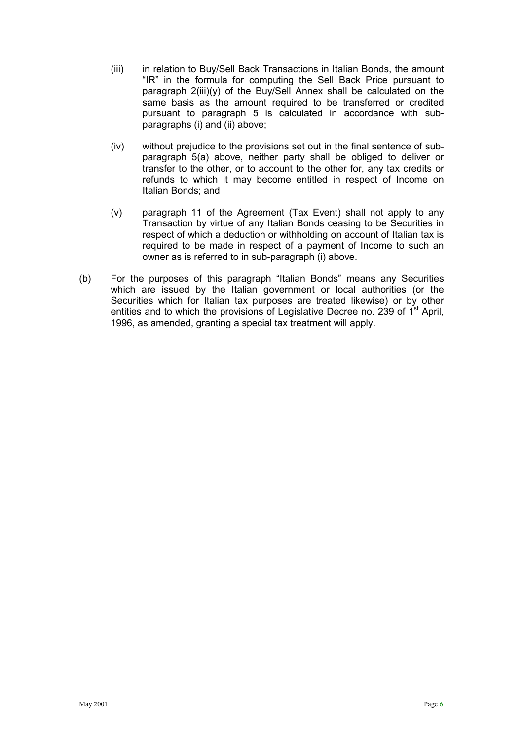- (iii) in relation to Buy/Sell Back Transactions in Italian Bonds, the amount "IR" in the formula for computing the Sell Back Price pursuant to paragraph 2(iii)(y) of the Buy/Sell Annex shall be calculated on the same basis as the amount required to be transferred or credited pursuant to paragraph 5 is calculated in accordance with subparagraphs (i) and (ii) above;
- (iv) without prejudice to the provisions set out in the final sentence of subparagraph 5(a) above, neither party shall be obliged to deliver or transfer to the other, or to account to the other for, any tax credits or refunds to which it may become entitled in respect of Income on Italian Bonds; and
- (v) paragraph 11 of the Agreement (Tax Event) shall not apply to any Transaction by virtue of any Italian Bonds ceasing to be Securities in respect of which a deduction or withholding on account of Italian tax is required to be made in respect of a payment of Income to such an owner as is referred to in sub-paragraph (i) above.
- (b) For the purposes of this paragraph "Italian Bonds" means any Securities which are issued by the Italian government or local authorities (or the Securities which for Italian tax purposes are treated likewise) or by other entities and to which the provisions of Legislative Decree no. 239 of  $1<sup>st</sup>$  April, 1996, as amended, granting a special tax treatment will apply.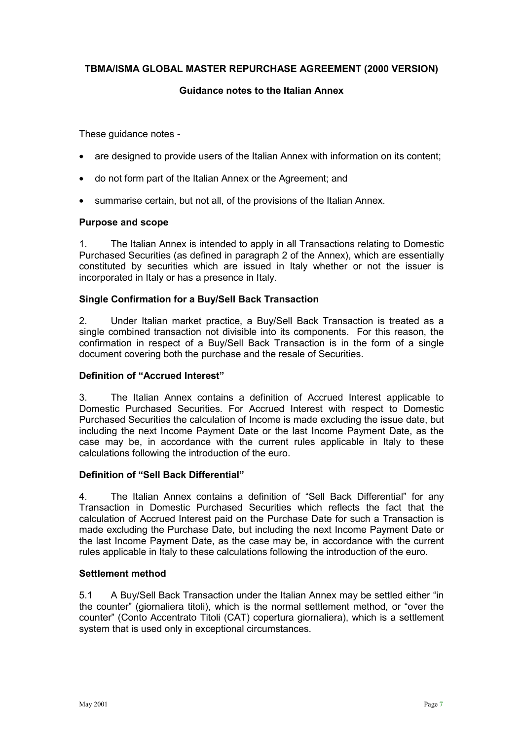# **TBMA/ISMA GLOBAL MASTER REPURCHASE AGREEMENT (2000 VERSION)**

### **Guidance notes to the Italian Annex**

These guidance notes -

- are designed to provide users of the Italian Annex with information on its content;
- do not form part of the Italian Annex or the Agreement; and
- summarise certain, but not all, of the provisions of the Italian Annex.

## **Purpose and scope**

1. The Italian Annex is intended to apply in all Transactions relating to Domestic Purchased Securities (as defined in paragraph 2 of the Annex), which are essentially constituted by securities which are issued in Italy whether or not the issuer is incorporated in Italy or has a presence in Italy.

## **Single Confirmation for a Buy/Sell Back Transaction**

2. Under Italian market practice, a Buy/Sell Back Transaction is treated as a single combined transaction not divisible into its components. For this reason, the confirmation in respect of a Buy/Sell Back Transaction is in the form of a single document covering both the purchase and the resale of Securities.

#### **Definition of "Accrued Interest"**

3. The Italian Annex contains a definition of Accrued Interest applicable to Domestic Purchased Securities. For Accrued Interest with respect to Domestic Purchased Securities the calculation of Income is made excluding the issue date, but including the next Income Payment Date or the last Income Payment Date, as the case may be, in accordance with the current rules applicable in Italy to these calculations following the introduction of the euro.

## **Definition of "Sell Back Differential"**

4. The Italian Annex contains a definition of "Sell Back Differential" for any Transaction in Domestic Purchased Securities which reflects the fact that the calculation of Accrued Interest paid on the Purchase Date for such a Transaction is made excluding the Purchase Date, but including the next Income Payment Date or the last Income Payment Date, as the case may be, in accordance with the current rules applicable in Italy to these calculations following the introduction of the euro.

## **Settlement method**

5.1 A Buy/Sell Back Transaction under the Italian Annex may be settled either "in the counter" (giornaliera titoli), which is the normal settlement method, or "over the counter" (Conto Accentrato Titoli (CAT) copertura giornaliera), which is a settlement system that is used only in exceptional circumstances.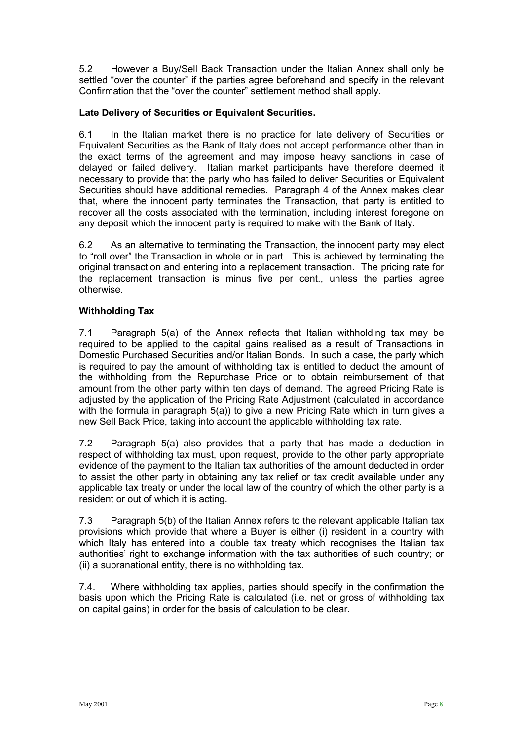5.2 However a Buy/Sell Back Transaction under the Italian Annex shall only be settled "over the counter" if the parties agree beforehand and specify in the relevant Confirmation that the "over the counter" settlement method shall apply.

# **Late Delivery of Securities or Equivalent Securities.**

6.1 In the Italian market there is no practice for late delivery of Securities or Equivalent Securities as the Bank of Italy does not accept performance other than in the exact terms of the agreement and may impose heavy sanctions in case of delayed or failed delivery. Italian market participants have therefore deemed it necessary to provide that the party who has failed to deliver Securities or Equivalent Securities should have additional remedies. Paragraph 4 of the Annex makes clear that, where the innocent party terminates the Transaction, that party is entitled to recover all the costs associated with the termination, including interest foregone on any deposit which the innocent party is required to make with the Bank of Italy.

6.2 As an alternative to terminating the Transaction, the innocent party may elect to "roll over" the Transaction in whole or in part. This is achieved by terminating the original transaction and entering into a replacement transaction. The pricing rate for the replacement transaction is minus five per cent., unless the parties agree otherwise.

# **Withholding Tax**

7.1 Paragraph 5(a) of the Annex reflects that Italian withholding tax may be required to be applied to the capital gains realised as a result of Transactions in Domestic Purchased Securities and/or Italian Bonds. In such a case, the party which is required to pay the amount of withholding tax is entitled to deduct the amount of the withholding from the Repurchase Price or to obtain reimbursement of that amount from the other party within ten days of demand. The agreed Pricing Rate is adjusted by the application of the Pricing Rate Adjustment (calculated in accordance with the formula in paragraph 5(a)) to give a new Pricing Rate which in turn gives a new Sell Back Price, taking into account the applicable withholding tax rate.

7.2 Paragraph 5(a) also provides that a party that has made a deduction in respect of withholding tax must, upon request, provide to the other party appropriate evidence of the payment to the Italian tax authorities of the amount deducted in order to assist the other party in obtaining any tax relief or tax credit available under any applicable tax treaty or under the local law of the country of which the other party is a resident or out of which it is acting.

7.3 Paragraph 5(b) of the Italian Annex refers to the relevant applicable Italian tax provisions which provide that where a Buyer is either (i) resident in a country with which Italy has entered into a double tax treaty which recognises the Italian tax authorities' right to exchange information with the tax authorities of such country; or (ii) a supranational entity, there is no withholding tax.

7.4. Where withholding tax applies, parties should specify in the confirmation the basis upon which the Pricing Rate is calculated (i.e. net or gross of withholding tax on capital gains) in order for the basis of calculation to be clear.